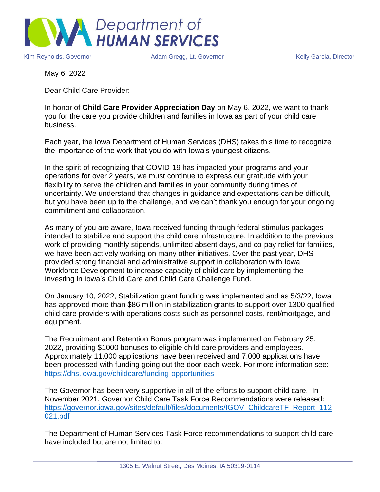

Kim Reynolds, Governor **Adam Gregg, Lt. Governor** Melly Garcia, Director Kelly Garcia, Director

May 6, 2022

Dear Child Care Provider:

In honor of **Child Care Provider Appreciation Day** on May 6, 2022, we want to thank you for the care you provide children and families in Iowa as part of your child care business.

Each year, the Iowa Department of Human Services (DHS) takes this time to recognize the importance of the work that you do with Iowa's youngest citizens.

In the spirit of recognizing that COVID-19 has impacted your programs and your operations for over 2 years, we must continue to express our gratitude with your flexibility to serve the children and families in your community during times of uncertainty. We understand that changes in guidance and expectations can be difficult, but you have been up to the challenge, and we can't thank you enough for your ongoing commitment and collaboration.

As many of you are aware, Iowa received funding through federal stimulus packages intended to stabilize and support the child care infrastructure. In addition to the previous work of providing monthly stipends, unlimited absent days, and co-pay relief for families, we have been actively working on many other initiatives. Over the past year, DHS provided strong financial and administrative support in collaboration with Iowa Workforce Development to increase capacity of child care by implementing the Investing in Iowa's Child Care and Child Care Challenge Fund.

On January 10, 2022, Stabilization grant funding was implemented and as 5/3/22, Iowa has approved more than \$86 million in stabilization grants to support over 1300 qualified child care providers with operations costs such as personnel costs, rent/mortgage, and equipment.

The Recruitment and Retention Bonus program was implemented on February 25, 2022, providing \$1000 bonuses to eligible child care providers and employees. Approximately 11,000 applications have been received and 7,000 applications have been processed with funding going out the door each week. For more information see: <https://dhs.iowa.gov/childcare/funding-opportunities>

The Governor has been very supportive in all of the efforts to support child care. In November 2021, Governor Child Care Task Force Recommendations were released: [https://governor.iowa.gov/sites/default/files/documents/IGOV\\_ChildcareTF\\_Report\\_112](https://governor.iowa.gov/sites/default/files/documents/IGOV_ChildcareTF_Report_112021.pdf) [021.pdf](https://governor.iowa.gov/sites/default/files/documents/IGOV_ChildcareTF_Report_112021.pdf)

The Department of Human Services Task Force recommendations to support child care have included but are not limited to: